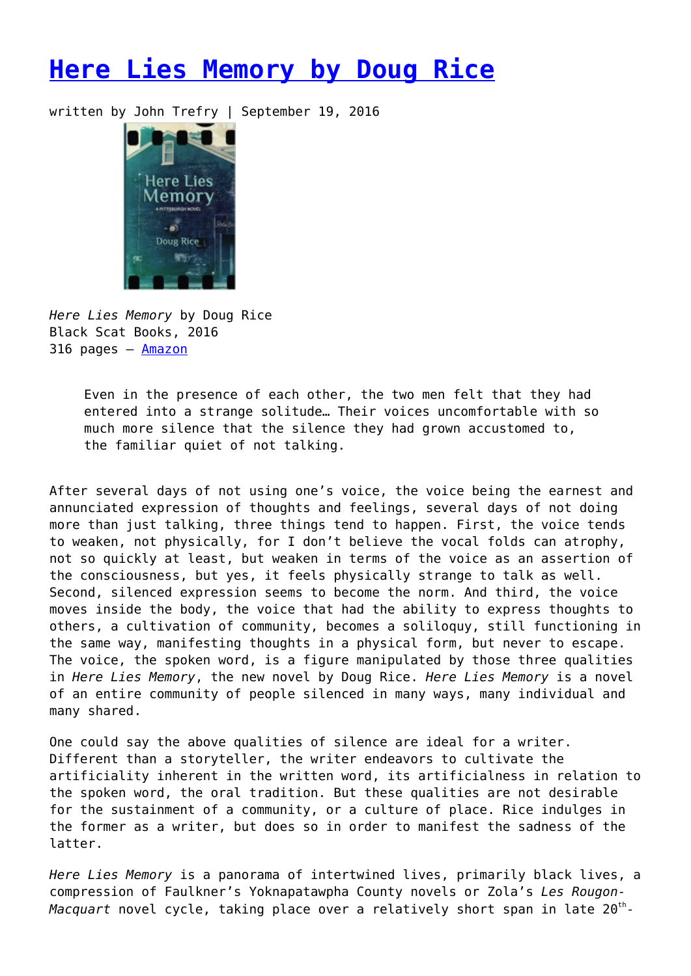## **[Here Lies Memory by Doug Rice](https://entropymag.org/here-lies-memory-by-doug-rice/)**

written by John Trefry | September 19, 2016



*Here Lies Memory* by Doug Rice Black Scat Books, 2016 316 pages – [Amazon](https://www.amazon.com/Here-Lies-Memory-Pittsburgh-Novel/dp/0997777117)

Even in the presence of each other, the two men felt that they had entered into a strange solitude… Their voices uncomfortable with so much more silence that the silence they had grown accustomed to, the familiar quiet of not talking.

After several days of not using one's voice, the voice being the earnest and annunciated expression of thoughts and feelings, several days of not doing more than just talking, three things tend to happen. First, the voice tends to weaken, not physically, for I don't believe the vocal folds can atrophy, not so quickly at least, but weaken in terms of the voice as an assertion of the consciousness, but yes, it feels physically strange to talk as well. Second, silenced expression seems to become the norm. And third, the voice moves inside the body, the voice that had the ability to express thoughts to others, a cultivation of community, becomes a soliloquy, still functioning in the same way, manifesting thoughts in a physical form, but never to escape. The voice, the spoken word, is a figure manipulated by those three qualities in *Here Lies Memory*, the new novel by Doug Rice. *Here Lies Memory* is a novel of an entire community of people silenced in many ways, many individual and many shared.

One could say the above qualities of silence are ideal for a writer. Different than a storyteller, the writer endeavors to cultivate the artificiality inherent in the written word, its artificialness in relation to the spoken word, the oral tradition. But these qualities are not desirable for the sustainment of a community, or a culture of place. Rice indulges in the former as a writer, but does so in order to manifest the sadness of the latter.

*Here Lies Memory* is a panorama of intertwined lives, primarily black lives, a compression of Faulkner's Yoknapatawpha County novels or Zola's *Les Rougon-Macquart* novel cycle, taking place over a relatively short span in late 20<sup>th</sup>-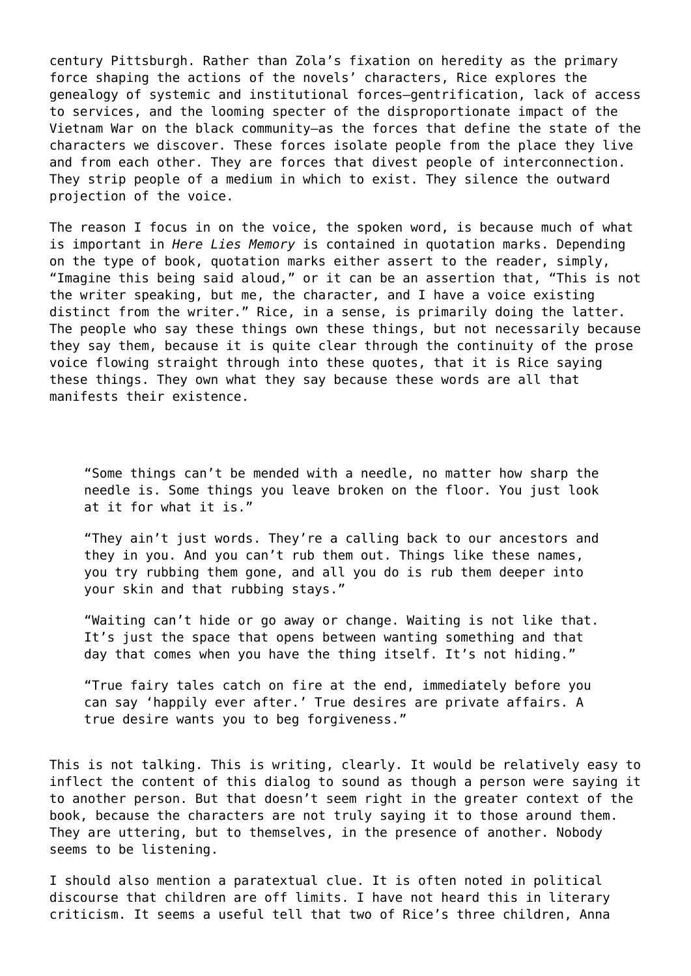century Pittsburgh. Rather than Zola's fixation on heredity as the primary force shaping the actions of the novels' characters, Rice explores the genealogy of systemic and institutional forces—gentrification, lack of access to services, and the looming specter of the disproportionate impact of the Vietnam War on the black community—as the forces that define the state of the characters we discover. These forces isolate people from the place they live and from each other. They are forces that divest people of interconnection. They strip people of a medium in which to exist. They silence the outward projection of the voice.

The reason I focus in on the voice, the spoken word, is because much of what is important in *Here Lies Memory* is contained in quotation marks. Depending on the type of book, quotation marks either assert to the reader, simply, "Imagine this being said aloud," or it can be an assertion that, "This is not the writer speaking, but me, the character, and I have a voice existing distinct from the writer." Rice, in a sense, is primarily doing the latter. The people who say these things own these things, but not necessarily because they say them, because it is quite clear through the continuity of the prose voice flowing straight through into these quotes, that it is Rice saying these things. They own what they say because these words are all that manifests their existence.

"Some things can't be mended with a needle, no matter how sharp the needle is. Some things you leave broken on the floor. You just look at it for what it is."

"They ain't just words. They're a calling back to our ancestors and they in you. And you can't rub them out. Things like these names, you try rubbing them gone, and all you do is rub them deeper into your skin and that rubbing stays."

"Waiting can't hide or go away or change. Waiting is not like that. It's just the space that opens between wanting something and that day that comes when you have the thing itself. It's not hiding."

"True fairy tales catch on fire at the end, immediately before you can say 'happily ever after.' True desires are private affairs. A true desire wants you to beg forgiveness."

This is not talking. This is writing, clearly. It would be relatively easy to inflect the content of this dialog to sound as though a person were saying it to another person. But that doesn't seem right in the greater context of the book, because the characters are not truly saying it to those around them. They are uttering, but to themselves, in the presence of another. Nobody seems to be listening.

I should also mention a paratextual clue. It is often noted in political discourse that children are off limits. I have not heard this in literary criticism. It seems a useful tell that two of Rice's three children, Anna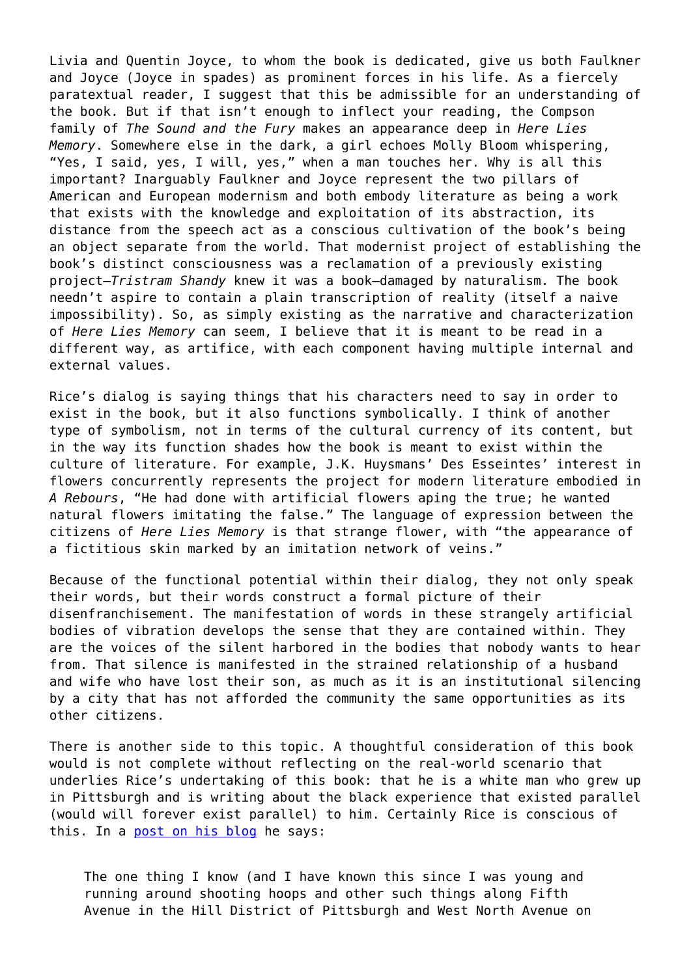Livia and Quentin Joyce, to whom the book is dedicated, give us both Faulkner and Joyce (Joyce in spades) as prominent forces in his life. As a fiercely paratextual reader, I suggest that this be admissible for an understanding of the book. But if that isn't enough to inflect your reading, the Compson family of *The Sound and the Fury* makes an appearance deep in *Here Lies Memory*. Somewhere else in the dark, a girl echoes Molly Bloom whispering, "Yes, I said, yes, I will, yes," when a man touches her. Why is all this important? Inarguably Faulkner and Joyce represent the two pillars of American and European modernism and both embody literature as being a work that exists with the knowledge and exploitation of its abstraction, its distance from the speech act as a conscious cultivation of the book's being an object separate from the world. That modernist project of establishing the book's distinct consciousness was a reclamation of a previously existing project—*Tristram Shandy* knew it was a book—damaged by naturalism. The book needn't aspire to contain a plain transcription of reality (itself a naive impossibility). So, as simply existing as the narrative and characterization of *Here Lies Memory* can seem, I believe that it is meant to be read in a different way, as artifice, with each component having multiple internal and external values.

Rice's dialog is saying things that his characters need to say in order to exist in the book, but it also functions symbolically. I think of another type of symbolism, not in terms of the cultural currency of its content, but in the way its function shades how the book is meant to exist within the culture of literature. For example, J.K. Huysmans' Des Esseintes' interest in flowers concurrently represents the project for modern literature embodied in *A Rebours*, "He had done with artificial flowers aping the true; he wanted natural flowers imitating the false." The language of expression between the citizens of *Here Lies Memory* is that strange flower, with "the appearance of a fictitious skin marked by an imitation network of veins."

Because of the functional potential within their dialog, they not only speak their words, but their words construct a formal picture of their disenfranchisement. The manifestation of words in these strangely artificial bodies of vibration develops the sense that they are contained within. They are the voices of the silent harbored in the bodies that nobody wants to hear from. That silence is manifested in the strained relationship of a husband and wife who have lost their son, as much as it is an institutional silencing by a city that has not afforded the community the same opportunities as its other citizens.

There is another side to this topic. A thoughtful consideration of this book would is not complete without reflecting on the real-world scenario that underlies Rice's undertaking of this book: that he is a white man who grew up in Pittsburgh and is writing about the black experience that existed parallel (would will forever exist parallel) to him. Certainly Rice is conscious of this. In a [post on his blog](https://entropymag.org/wp-admin/post.php?post=30069&action=edit) he says:

The one thing I know (and I have known this since I was young and running around shooting hoops and other such things along Fifth Avenue in the Hill District of Pittsburgh and West North Avenue on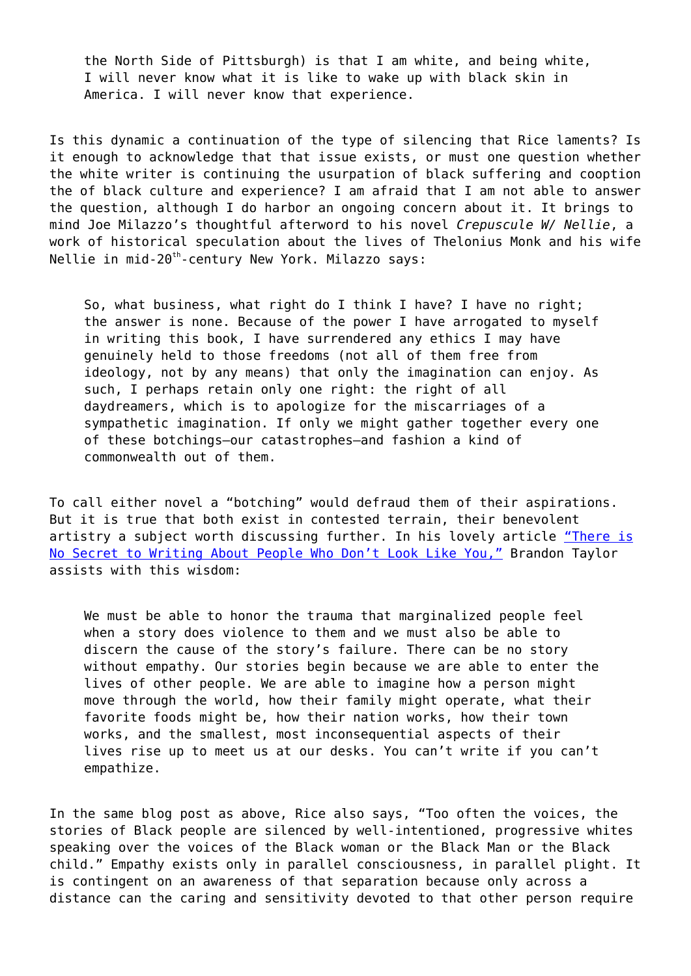the North Side of Pittsburgh) is that I am white, and being white, I will never know what it is like to wake up with black skin in America. I will never know that experience.

Is this dynamic a continuation of the type of silencing that Rice laments? Is it enough to acknowledge that that issue exists, or must one question whether the white writer is continuing the usurpation of black suffering and cooption the of black culture and experience? I am afraid that I am not able to answer the question, although I do harbor an ongoing concern about it. It brings to mind Joe Milazzo's thoughtful afterword to his novel *Crepuscule W/ Nellie*, a work of historical speculation about the lives of Thelonius Monk and his wife Nellie in mid-20<sup>th</sup>-century New York. Milazzo says:

So, what business, what right do I think I have? I have no right; the answer is none. Because of the power I have arrogated to myself in writing this book, I have surrendered any ethics I may have genuinely held to those freedoms (not all of them free from ideology, not by any means) that only the imagination can enjoy. As such, I perhaps retain only one right: the right of all daydreamers, which is to apologize for the miscarriages of a sympathetic imagination. If only we might gather together every one of these botchings—our catastrophes—and fashion a kind of commonwealth out of them.

To call either novel a "botching" would defraud them of their aspirations. But it is true that both exist in contested terrain, their benevolent artistry a subject worth discussing further. In his lovely article ["There is](http://lithub.com/there-is-no-secret-to-writing-about-people-who-do-not-look-like-you/) [No Secret to Writing About People Who Don't Look Like You,"](http://lithub.com/there-is-no-secret-to-writing-about-people-who-do-not-look-like-you/) Brandon Taylor assists with this wisdom:

We must be able to honor the trauma that marginalized people feel when a story does violence to them and we must also be able to discern the cause of the story's failure. There can be no story without empathy. Our stories begin because we are able to enter the lives of other people. We are able to imagine how a person might move through the world, how their family might operate, what their favorite foods might be, how their nation works, how their town works, and the smallest, most inconsequential aspects of their lives rise up to meet us at our desks. You can't write if you can't empathize.

In the same blog post as above, Rice also says, "Too often the voices, the stories of Black people are silenced by well-intentioned, progressive whites speaking over the voices of the Black woman or the Black Man or the Black child." Empathy exists only in parallel consciousness, in parallel plight. It is contingent on an awareness of that separation because only across a distance can the caring and sensitivity devoted to that other person require